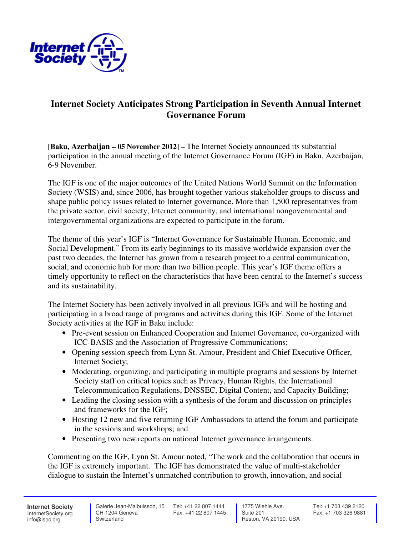

## **Internet Society Anticipates Strong Participation in Seventh Annual Internet Governance Forum**

**[Baku, Azerbaijan – 05 November 2012]** – The Internet Society announced its substantial participation in the annual meeting of the Internet Governance Forum (IGF) in Baku, Azerbaijan, 6-9 November.

The IGF is one of the major outcomes of the United Nations World Summit on the Information Society (WSIS) and, since 2006, has brought together various stakeholder groups to discuss and shape public policy issues related to Internet governance. More than 1,500 representatives from the private sector, civil society, Internet community, and international nongovernmental and intergovernmental organizations are expected to participate in the forum.

The theme of this year's IGF is "Internet Governance for Sustainable Human, Economic, and Social Development." From its early beginnings to its massive worldwide expansion over the past two decades, the Internet has grown from a research project to a central communication, social, and economic hub for more than two billion people. This year's IGF theme offers a timely opportunity to reflect on the characteristics that have been central to the Internet's success and its sustainability.

The Internet Society has been actively involved in all previous IGFs and will be hosting and participating in a broad range of programs and activities during this IGF. Some of the Internet Society activities at the IGF in Baku include:

- Pre-event session on Enhanced Cooperation and Internet Governance, co-organized with ICC-BASIS and the Association of Progressive Communications;
- Opening session speech from Lynn St. Amour, President and Chief Executive Officer, Internet Society;
- Moderating, organizing, and participating in multiple programs and sessions by Internet Society staff on critical topics such as Privacy, Human Rights, the International Telecommunication Regulations, DNSSEC, Digital Content, and Capacity Building;
- Leading the closing session with a synthesis of the forum and discussion on principles and frameworks for the IGF;
- Hosting 12 new and five returning IGF Ambassadors to attend the forum and participate in the sessions and workshops; and
- Presenting two new reports on national Internet governance arrangements.

Commenting on the IGF, Lynn St. Amour noted, "The work and the collaboration that occurs in the IGF is extremely important. The IGF has demonstrated the value of multi-stakeholder dialogue to sustain the Internet's unmatched contribution to growth, innovation, and social

**Internet Society** InternetSociety.org info@isoc.org